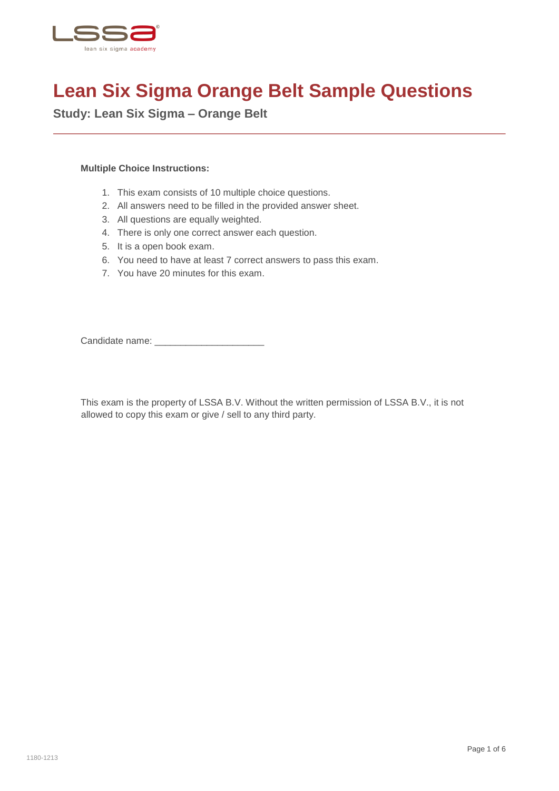

## **Lean Six Sigma Orange Belt Sample Questions**

**Study: Lean Six Sigma – Orange Belt**

## **Multiple Choice Instructions:**

- 1. This exam consists of 10 multiple choice questions.
- 2. All answers need to be filled in the provided answer sheet.
- 3. All questions are equally weighted.
- 4. There is only one correct answer each question.
- 5. It is a open book exam.
- 6. You need to have at least 7 correct answers to pass this exam.
- 7. You have 20 minutes for this exam.

Candidate name: \_\_\_\_\_\_\_\_\_\_\_\_\_\_\_\_\_\_\_\_\_

This exam is the property of LSSA B.V. Without the written permission of LSSA B.V., it is not allowed to copy this exam or give / sell to any third party.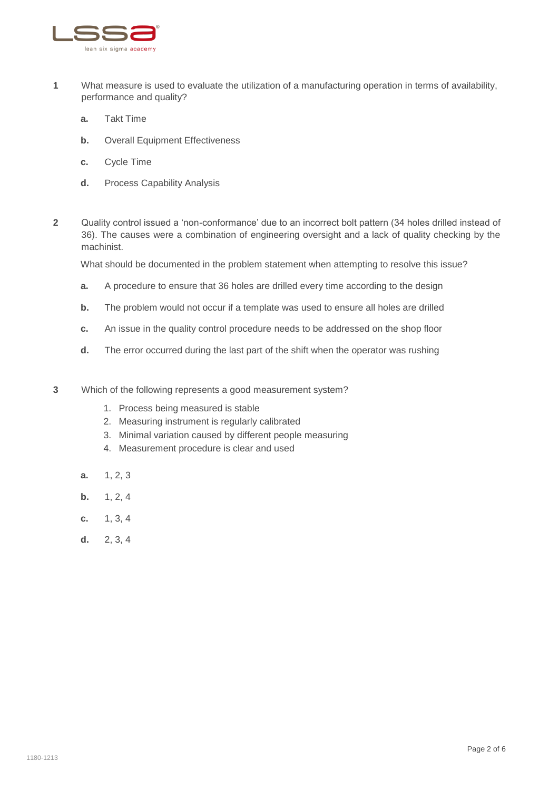

- **1** What measure is used to evaluate the utilization of a manufacturing operation in terms of availability, performance and quality?
	- **a.** Takt Time
	- **b.** Overall Equipment Effectiveness
	- **c.** Cycle Time
	- **d.** Process Capability Analysis
- **2** Quality control issued a 'non-conformance' due to an incorrect bolt pattern (34 holes drilled instead of 36). The causes were a combination of engineering oversight and a lack of quality checking by the machinist.

What should be documented in the problem statement when attempting to resolve this issue?

- **a.** A procedure to ensure that 36 holes are drilled every time according to the design
- **b.** The problem would not occur if a template was used to ensure all holes are drilled
- **c.** An issue in the quality control procedure needs to be addressed on the shop floor
- **d.** The error occurred during the last part of the shift when the operator was rushing
- **3** Which of the following represents a good measurement system?
	- 1. Process being measured is stable
	- 2. Measuring instrument is regularly calibrated
	- 3. Minimal variation caused by different people measuring
	- 4. Measurement procedure is clear and used
	- **a.** 1, 2, 3
	- **b.** 1, 2, 4
	- **c.** 1, 3, 4
	- **d.** 2, 3, 4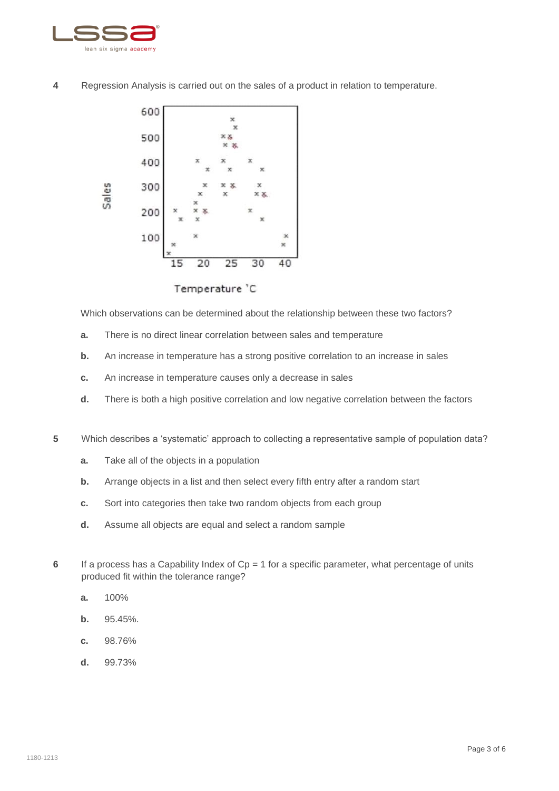

**4** Regression Analysis is carried out on the sales of a product in relation to temperature.



Which observations can be determined about the relationship between these two factors?

- **a.** There is no direct linear correlation between sales and temperature
- **b.** An increase in temperature has a strong positive correlation to an increase in sales
- **c.** An increase in temperature causes only a decrease in sales
- **d.** There is both a high positive correlation and low negative correlation between the factors
- **5** Which describes a 'systematic' approach to collecting a representative sample of population data?
	- **a.** Take all of the objects in a population
	- **b.** Arrange objects in a list and then select every fifth entry after a random start
	- **c.** Sort into categories then take two random objects from each group
	- **d.** Assume all objects are equal and select a random sample
- **6** If a process has a Capability Index of Cp = 1 for a specific parameter, what percentage of units produced fit within the tolerance range?
	- **a.** 100%
	- **b.** 95.45%.
	- **c.** 98.76%
	- **d.** 99.73%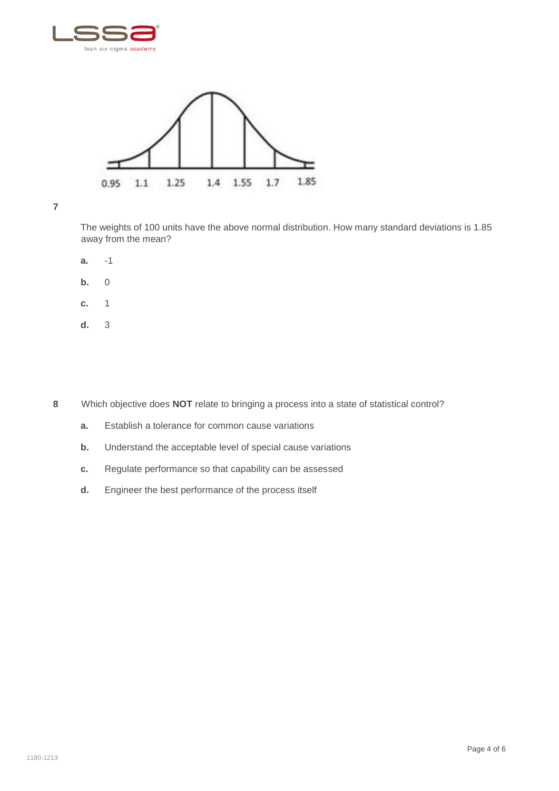



**7**

The weights of 100 units have the above normal distribution. How many standard deviations is 1.85 away from the mean?

- **a.** -1
- **b.** 0
- **c.** 1
- **d.** 3

**8** Which objective does **NOT** relate to bringing a process into a state of statistical control?

- **a.** Establish a tolerance for common cause variations
- **b.** Understand the acceptable level of special cause variations
- **c.** Regulate performance so that capability can be assessed
- **d.** Engineer the best performance of the process itself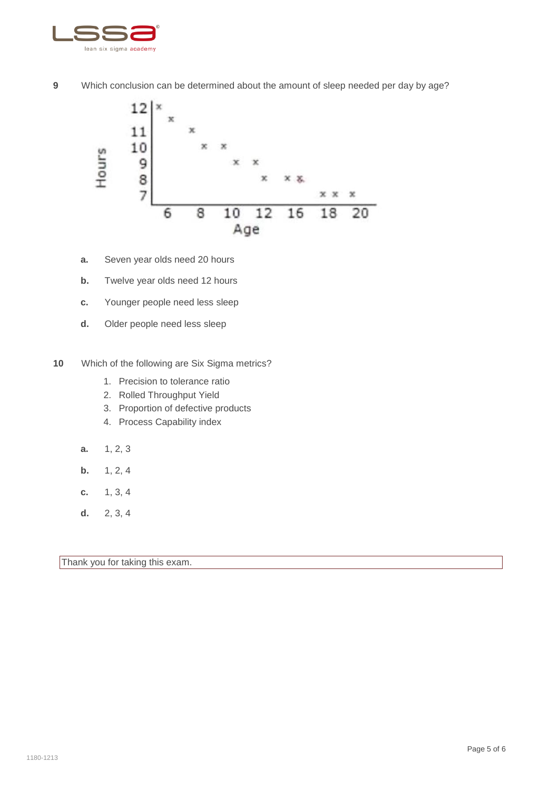

**9** Which conclusion can be determined about the amount of sleep needed per day by age?



- **a.** Seven year olds need 20 hours
- **b.** Twelve year olds need 12 hours
- **c.** Younger people need less sleep
- **d.** Older people need less sleep
- **10** Which of the following are Six Sigma metrics?
	- 1. Precision to tolerance ratio
	- 2. Rolled Throughput Yield
	- 3. Proportion of defective products
	- 4. Process Capability index
	- **a.** 1, 2, 3
	- **b.** 1, 2, 4
	- **c.** 1, 3, 4
	- **d.** 2, 3, 4

Thank you for taking this exam.